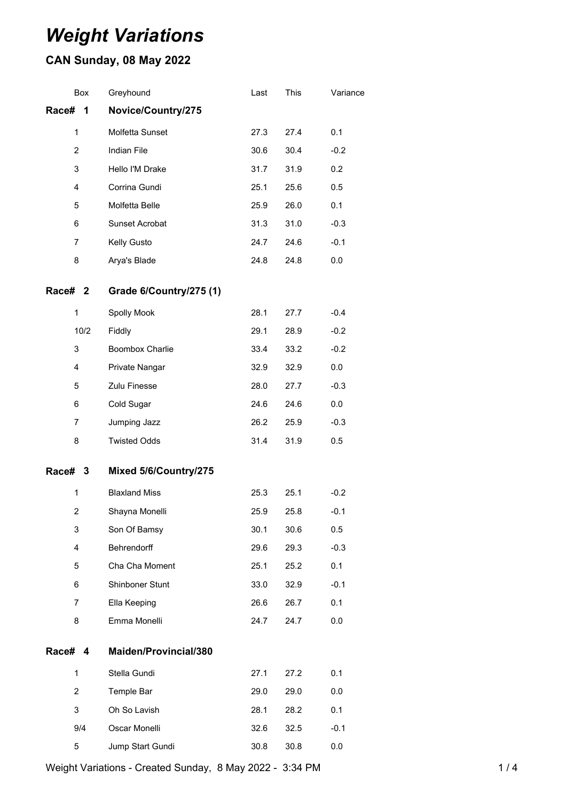# *Weight Variations*

# **CAN Sunday, 08 May 2022**

|         | Box            | Greyhound               | Last | This | Variance |
|---------|----------------|-------------------------|------|------|----------|
| Race#   | 1              | Novice/Country/275      |      |      |          |
|         | $\mathbf{1}$   | Molfetta Sunset         | 27.3 | 27.4 | 0.1      |
|         | $\overline{2}$ | Indian File             | 30.6 | 30.4 | $-0.2$   |
|         | 3              | Hello I'M Drake         | 31.7 | 31.9 | 0.2      |
|         | 4              | Corrina Gundi           | 25.1 | 25.6 | 0.5      |
|         | 5              | Molfetta Belle          | 25.9 | 26.0 | 0.1      |
|         | 6              | Sunset Acrobat          | 31.3 | 31.0 | $-0.3$   |
|         | $\overline{7}$ | Kelly Gusto             | 24.7 | 24.6 | $-0.1$   |
|         | 8              | Arya's Blade            | 24.8 | 24.8 | 0.0      |
| Race# 2 |                | Grade 6/Country/275 (1) |      |      |          |
|         | 1              | Spolly Mook             | 28.1 | 27.7 | $-0.4$   |
|         | 10/2           | Fiddly                  | 29.1 | 28.9 | $-0.2$   |
|         | 3              | Boombox Charlie         | 33.4 | 33.2 | $-0.2$   |
|         | 4              | Private Nangar          | 32.9 | 32.9 | 0.0      |
|         | 5              | Zulu Finesse            | 28.0 | 27.7 | $-0.3$   |
|         | 6              | Cold Sugar              | 24.6 | 24.6 | 0.0      |
|         | $\overline{7}$ | Jumping Jazz            | 26.2 | 25.9 | $-0.3$   |
|         | 8              | <b>Twisted Odds</b>     | 31.4 | 31.9 | 0.5      |
| Race# 3 |                | Mixed 5/6/Country/275   |      |      |          |
|         | $\mathbf{1}$   | <b>Blaxland Miss</b>    | 25.3 | 25.1 | $-0.2$   |
|         | $\overline{2}$ | Shayna Monelli          | 25.9 | 25.8 | $-0.1$   |
|         | 3              | Son Of Bamsy            | 30.1 | 30.6 | 0.5      |
|         | 4              | Behrendorff             | 29.6 | 29.3 | $-0.3$   |
|         | 5              | Cha Cha Moment          | 25.1 | 25.2 | 0.1      |
|         | 6              | Shinboner Stunt         | 33.0 | 32.9 | $-0.1$   |
|         | 7              | Ella Keeping            | 26.6 | 26.7 | 0.1      |
|         | 8              | Emma Monelli            | 24.7 | 24.7 | $0.0\,$  |
| Race# 4 |                | Maiden/Provincial/380   |      |      |          |
|         | 1              | Stella Gundi            | 27.1 | 27.2 | 0.1      |
|         | $\overline{2}$ | Temple Bar              | 29.0 | 29.0 | 0.0      |
|         | 3              | Oh So Lavish            | 28.1 | 28.2 | 0.1      |
|         | 9/4            | Oscar Monelli           | 32.6 | 32.5 | $-0.1$   |
|         | 5              | Jump Start Gundi        | 30.8 | 30.8 | 0.0      |

Weight Variations - Created Sunday, 8 May 2022 - 3:34 PM 1 14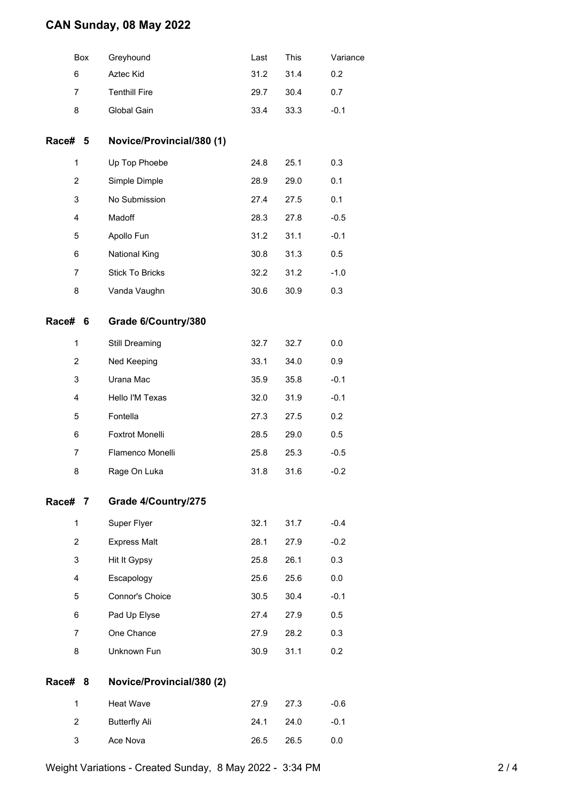## **CAN Sunday, 08 May 2022**

|         | Box            | Greyhound                 | Last | This | Variance |
|---------|----------------|---------------------------|------|------|----------|
|         | 6              | Aztec Kid                 | 31.2 | 31.4 | 0.2      |
|         | 7              | <b>Tenthill Fire</b>      | 29.7 | 30.4 | 0.7      |
|         | 8              | Global Gain               | 33.4 | 33.3 | $-0.1$   |
| Race#   | 5              | Novice/Provincial/380 (1) |      |      |          |
|         | 1              | Up Top Phoebe             | 24.8 | 25.1 | 0.3      |
|         | $\overline{c}$ | Simple Dimple             | 28.9 | 29.0 | 0.1      |
|         | 3              | No Submission             | 27.4 | 27.5 | 0.1      |
|         | 4              | Madoff                    | 28.3 | 27.8 | $-0.5$   |
|         | 5              | Apollo Fun                | 31.2 | 31.1 | $-0.1$   |
|         | 6              | <b>National King</b>      | 30.8 | 31.3 | 0.5      |
|         | $\overline{7}$ | <b>Stick To Bricks</b>    | 32.2 | 31.2 | $-1.0$   |
|         | 8              | Vanda Vaughn              | 30.6 | 30.9 | 0.3      |
| Race# 6 |                | Grade 6/Country/380       |      |      |          |
|         | $\mathbf{1}$   | Still Dreaming            | 32.7 | 32.7 | 0.0      |
|         | $\overline{c}$ | Ned Keeping               | 33.1 | 34.0 | 0.9      |
|         | 3              | Urana Mac                 | 35.9 | 35.8 | $-0.1$   |
|         | 4              | Hello I'M Texas           | 32.0 | 31.9 | $-0.1$   |
|         | 5              | Fontella                  | 27.3 | 27.5 | 0.2      |
|         | 6              | Foxtrot Monelli           | 28.5 | 29.0 | 0.5      |
|         | 7              | Flamenco Monelli          | 25.8 | 25.3 | $-0.5$   |
|         | 8              | Rage On Luka              | 31.8 | 31.6 | $-0.2$   |
| Race# 7 |                | Grade 4/Country/275       |      |      |          |
|         | $\mathbf{1}$   | Super Flyer               | 32.1 | 31.7 | $-0.4$   |
|         | $\overline{2}$ | <b>Express Malt</b>       | 28.1 | 27.9 | $-0.2$   |
|         | 3              | Hit It Gypsy              | 25.8 | 26.1 | 0.3      |
|         | 4              | Escapology                | 25.6 | 25.6 | 0.0      |
|         | 5              | Connor's Choice           | 30.5 | 30.4 | $-0.1$   |
|         | 6              | Pad Up Elyse              | 27.4 | 27.9 | 0.5      |
|         | 7              | One Chance                | 27.9 | 28.2 | 0.3      |
|         | 8              | Unknown Fun               | 30.9 | 31.1 | 0.2      |
| Race# 8 |                | Novice/Provincial/380 (2) |      |      |          |
|         | $\mathbf{1}$   | <b>Heat Wave</b>          | 27.9 | 27.3 | $-0.6$   |
|         | $\overline{2}$ | <b>Butterfly Ali</b>      | 24.1 | 24.0 | $-0.1$   |
|         | 3              | Ace Nova                  | 26.5 | 26.5 | 0.0      |
|         |                |                           |      |      |          |

Weight Variations - Created Sunday, 8 May 2022 - 3:34 PM 2 2 / 4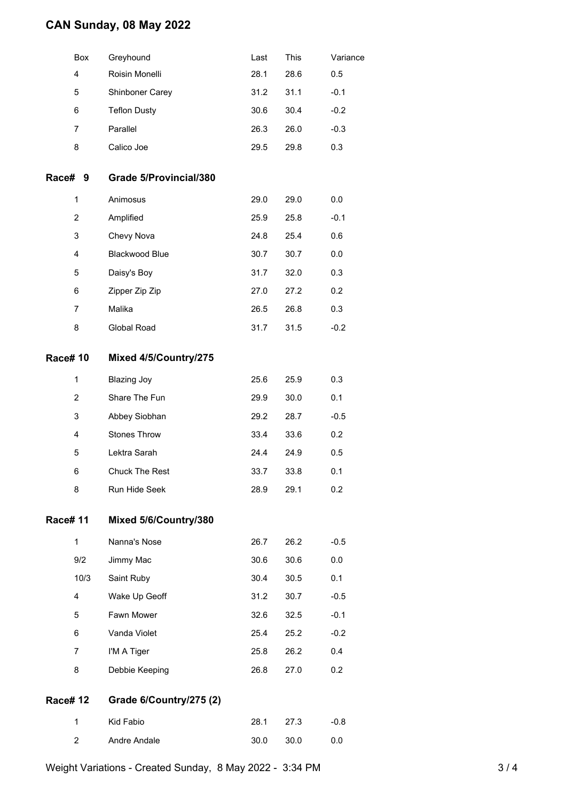### **CAN Sunday, 08 May 2022**

| Box | Greyhound              | Last | This | Variance |
|-----|------------------------|------|------|----------|
| 4   | Roisin Monelli         | 28.1 | 28.6 | 0.5      |
| 5   | <b>Shinboner Carey</b> | 31.2 | 31.1 | $-0.1$   |
| 6   | <b>Teflon Dusty</b>    | 30.6 | 30.4 | $-0.2$   |
| 7   | Parallel               | 26.3 | 26.0 | $-0.3$   |
| 8   | Calico Joe             | 29.5 | 29.8 | 0.3      |

#### **Race# 9 Grade 5/Provincial/380**

| 1 | Animosus              | 29.0 | 29.0 | 0.0    |
|---|-----------------------|------|------|--------|
| 2 | Amplified             | 25.9 | 25.8 | $-0.1$ |
| 3 | Chevy Nova            | 24.8 | 25.4 | 0.6    |
| 4 | <b>Blackwood Blue</b> | 30.7 | 30.7 | 0.0    |
| 5 | Daisy's Boy           | 31.7 | 32.0 | 0.3    |
| 6 | Zipper Zip Zip        | 27.0 | 27.2 | 0.2    |
| 7 | Malika                | 26.5 | 26.8 | 0.3    |
| 8 | Global Road           | 31.7 | 31.5 | $-0.2$ |

#### **Race# 10 Mixed 4/5/Country/275**

| 1 | Blazing Joy           | 25.6 | 25.9 | 0.3              |
|---|-----------------------|------|------|------------------|
| 2 | Share The Fun         | 29.9 | 30.0 | 0.1              |
| 3 | Abbey Siobhan         | 29.2 | 28.7 | $-0.5$           |
| 4 | <b>Stones Throw</b>   | 33.4 | 33.6 | 0.2 <sub>0</sub> |
| 5 | Lektra Sarah          | 24.4 | 24.9 | 0.5              |
| 6 | <b>Chuck The Rest</b> | 33.7 | 33.8 | 0.1              |
| 8 | <b>Run Hide Seek</b>  | 28.9 | 29.1 | 0.2              |

### **Race# 11 Mixed 5/6/Country/380**

| 1    | Nanna's Nose   | 26.7 | 26.2 | $-0.5$           |
|------|----------------|------|------|------------------|
| 9/2  | Jimmy Mac      | 30.6 | 30.6 | 0.0              |
| 10/3 | Saint Ruby     | 30.4 | 30.5 | 0.1              |
| 4    | Wake Up Geoff  | 31.2 | 30.7 | $-0.5$           |
| 5    | Fawn Mower     | 32.6 | 32.5 | $-0.1$           |
| 6    | Vanda Violet   | 25.4 | 25.2 | $-0.2$           |
| 7    | I'M A Tiger    | 25.8 | 26.2 | 0.4              |
| 8    | Debbie Keeping | 26.8 | 27.0 | 0.2 <sub>0</sub> |
|      |                |      |      |                  |

#### **Race# 12 Grade 6/Country/275 (2)**

|                | Kid Fabio    |           | 28.1 27.3 | -0.8 |
|----------------|--------------|-----------|-----------|------|
| $\overline{2}$ | Andre Andale | 30.0 30.0 |           | 0.0  |

Weight Variations - Created Sunday, 8 May 2022 - 3:34 PM 3 3 / 4